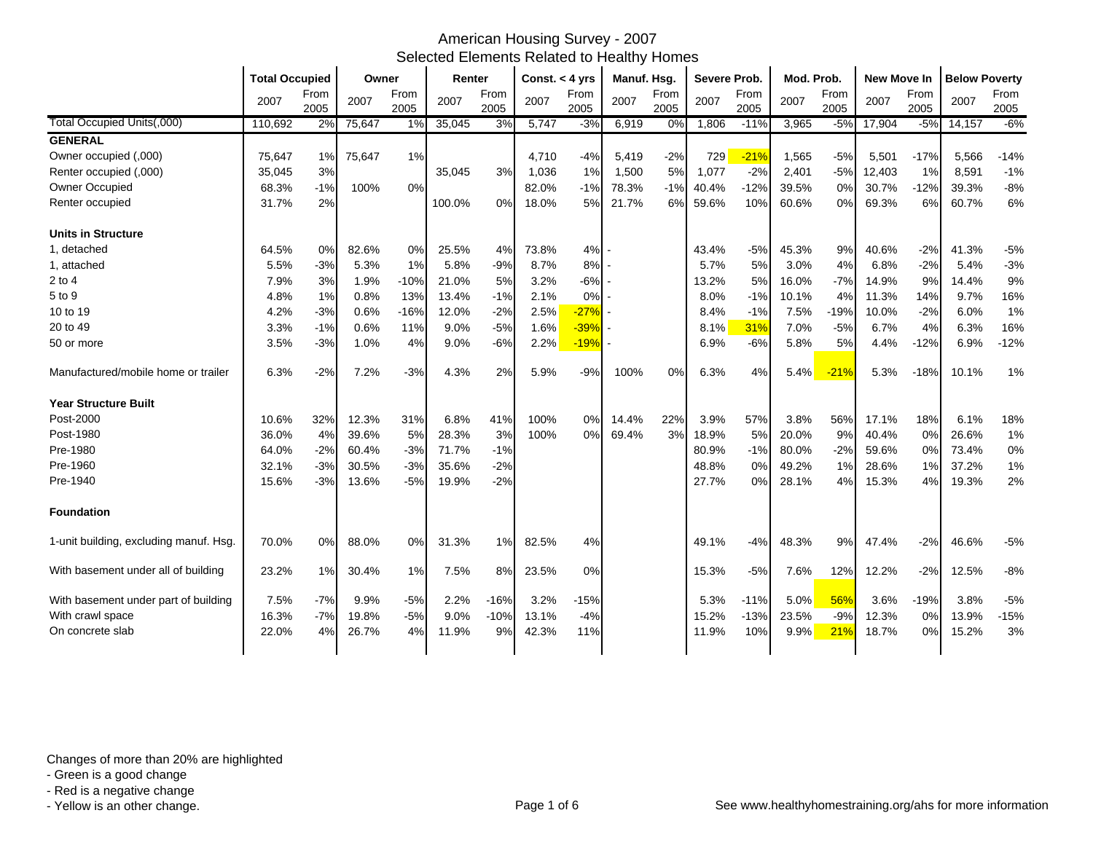|                                        | <b>Total Occupied</b> |              | Owner  |              | Renter |              | Const. $<$ 4 yrs |              | Manuf. Hsg. |              | Severe Prob. |              | Mod. Prob. |              | New Move In |              | <b>Below Poverty</b> |              |
|----------------------------------------|-----------------------|--------------|--------|--------------|--------|--------------|------------------|--------------|-------------|--------------|--------------|--------------|------------|--------------|-------------|--------------|----------------------|--------------|
|                                        | 2007                  | From<br>2005 | 2007   | From<br>2005 | 2007   | From<br>2005 | 2007             | From<br>2005 | 2007        | From<br>2005 | 2007         | From<br>2005 | 2007       | From<br>2005 | 2007        | From<br>2005 | 2007                 | From<br>2005 |
| Total Occupied Units(,000)             | 110.692               | 2%           | 75,647 | 1%           | 35,045 | 3%           | 5,747            | $-3%$        | 6,919       | 0%           | 1,806        | $-11%$       | 3,965      | $-5%$        | 17,904      | $-5%$        | 14,157               | $-6%$        |
| <b>GENERAL</b>                         |                       |              |        |              |        |              |                  |              |             |              |              |              |            |              |             |              |                      |              |
| Owner occupied (,000)                  | 75,647                | 1%           | 75,647 | 1%           |        |              | 4.710            | $-4%$        | 5,419       | $-2%$        | 729          | $-21%$       | 1,565      | $-5%$        | 5,501       | $-17%$       | 5,566                | $-14%$       |
| Renter occupied (,000)                 | 35,045                | 3%           |        |              | 35,045 | 3%           | 1,036            | 1%           | 1,500       | 5%           | 1,077        | $-2%$        | 2,401      | $-5%$        | 12,403      | 1%           | 8,591                | $-1%$        |
| Owner Occupied                         | 68.3%                 | $-1%$        | 100%   | 0%           |        |              | 82.0%            | $-1%$        | 78.3%       | $-1%$        | 40.4%        | $-12%$       | 39.5%      | 0%           | 30.7%       | $-12%$       | 39.3%                | $-8%$        |
| Renter occupied                        | 31.7%                 | 2%           |        |              | 100.0% | 0%           | 18.0%            | 5%           | 21.7%       | 6%           | 59.6%        | 10%          | 60.6%      | 0%           | 69.3%       | 6%           | 60.7%                | 6%           |
| <b>Units in Structure</b>              |                       |              |        |              |        |              |                  |              |             |              |              |              |            |              |             |              |                      |              |
| 1. detached                            | 64.5%                 | 0%           | 82.6%  | 0%           | 25.5%  | 4%           | 73.8%            | 4%           |             |              | 43.4%        | $-5%$        | 45.3%      | 9%           | 40.6%       | $-2%$        | 41.3%                | $-5%$        |
| 1, attached                            | 5.5%                  | -3%          | 5.3%   | 1%           | 5.8%   | $-9%$        | 8.7%             | 8%           |             |              | 5.7%         | 5%           | 3.0%       | 4%           | 6.8%        | $-2%$        | 5.4%                 | $-3%$        |
| $2$ to 4                               | 7.9%                  | 3%           | 1.9%   | $-10%$       | 21.0%  | 5%           | 3.2%             | $-6%$        |             |              | 13.2%        | 5%           | 16.0%      | $-7%$        | 14.9%       | 9%           | 14.4%                | 9%           |
| 5 to 9                                 | 4.8%                  | 1%           | 0.8%   | 13%          | 13.4%  | $-1%$        | 2.1%             | 0%           |             |              | 8.0%         | $-1%$        | 10.1%      | 4%           | 11.3%       | 14%          | 9.7%                 | 16%          |
| 10 to 19                               | 4.2%                  | $-3%$        | 0.6%   | $-16%$       | 12.0%  | $-2%$        | 2.5%             | $-27%$       |             |              | 8.4%         | $-1%$        | 7.5%       | $-19%$       | 10.0%       | $-2%$        | 6.0%                 | 1%           |
| 20 to 49                               | 3.3%                  | $-1%$        | 0.6%   | 11%          | 9.0%   | $-5%$        | 1.6%             | $-39%$       |             |              | 8.1%         | 31%          | 7.0%       | $-5%$        | 6.7%        | 4%           | 6.3%                 | 16%          |
| 50 or more                             | 3.5%                  | $-3%$        | 1.0%   | 4%           | 9.0%   | $-6%$        | 2.2%             | $-19%$       |             |              | 6.9%         | $-6%$        | 5.8%       | 5%           | 4.4%        | $-12%$       | 6.9%                 | $-12%$       |
| Manufactured/mobile home or trailer    | 6.3%                  | $-2%$        | 7.2%   | $-3%$        | 4.3%   | 2%           | 5.9%             | $-9%$        | 100%        | 0%           | 6.3%         | 4%           | 5.4%       | $-21%$       | 5.3%        | $-18%$       | 10.1%                | 1%           |
| <b>Year Structure Built</b>            |                       |              |        |              |        |              |                  |              |             |              |              |              |            |              |             |              |                      |              |
| Post-2000                              | 10.6%                 | 32%          | 12.3%  | 31%          | 6.8%   | 41%          | 100%             | 0%           | 14.4%       | 22%          | 3.9%         | 57%          | 3.8%       | 56%          | 17.1%       | 18%          | 6.1%                 | 18%          |
| Post-1980                              | 36.0%                 | 4%           | 39.6%  | 5%           | 28.3%  | 3%           | 100%             | 0%           | 69.4%       | 3%           | 18.9%        | 5%           | 20.0%      | 9%           | 40.4%       | 0%           | 26.6%                | 1%           |
| Pre-1980                               | 64.0%                 | $-2%$        | 60.4%  | $-3%$        | 71.7%  | $-1%$        |                  |              |             |              | 80.9%        | $-1%$        | 80.0%      | $-2%$        | 59.6%       | 0%           | 73.4%                | 0%           |
| Pre-1960                               | 32.1%                 | $-3%$        | 30.5%  | $-3%$        | 35.6%  | $-2%$        |                  |              |             |              | 48.8%        | 0%           | 49.2%      | 1%           | 28.6%       | 1%           | 37.2%                | 1%           |
| Pre-1940                               | 15.6%                 | $-3%$        | 13.6%  | $-5%$        | 19.9%  | $-2%$        |                  |              |             |              | 27.7%        | 0%           | 28.1%      | 4%           | 15.3%       | 4%           | 19.3%                | 2%           |
| <b>Foundation</b>                      |                       |              |        |              |        |              |                  |              |             |              |              |              |            |              |             |              |                      |              |
| 1-unit building, excluding manuf. Hsg. | 70.0%                 | 0%           | 88.0%  | 0%           | 31.3%  | 1%           | 82.5%            | 4%           |             |              | 49.1%        | $-4%$        | 48.3%      | 9%           | 47.4%       | $-2%$        | 46.6%                | $-5%$        |
| With basement under all of building    | 23.2%                 | 1%           | 30.4%  | 1%           | 7.5%   | 8%           | 23.5%            | 0%           |             |              | 15.3%        | $-5%$        | 7.6%       | 12%          | 12.2%       | $-2%$        | 12.5%                | $-8%$        |
| With basement under part of building   | 7.5%                  | $-7%$        | 9.9%   | $-5%$        | 2.2%   | $-16%$       | 3.2%             | $-15%$       |             |              | 5.3%         | $-11%$       | 5.0%       | 56%          | 3.6%        | $-19%$       | 3.8%                 | $-5%$        |
| With crawl space                       | 16.3%                 | $-7%$        | 19.8%  | $-5%$        | 9.0%   | $-10%$       | 13.1%            | $-4%$        |             |              | 15.2%        | $-13%$       | 23.5%      | $-9%$        | 12.3%       | $0\%$        | 13.9%                | $-15%$       |
| On concrete slab                       | 22.0%                 | 4%           | 26.7%  | 4%           | 11.9%  | 9%           | 42.3%            | 11%          |             |              | 11.9%        | 10%          | 9.9%       | 21%          | 18.7%       | 0%           | 15.2%                | 3%           |

Changes of more than 20% are highlighted

- Green is a good change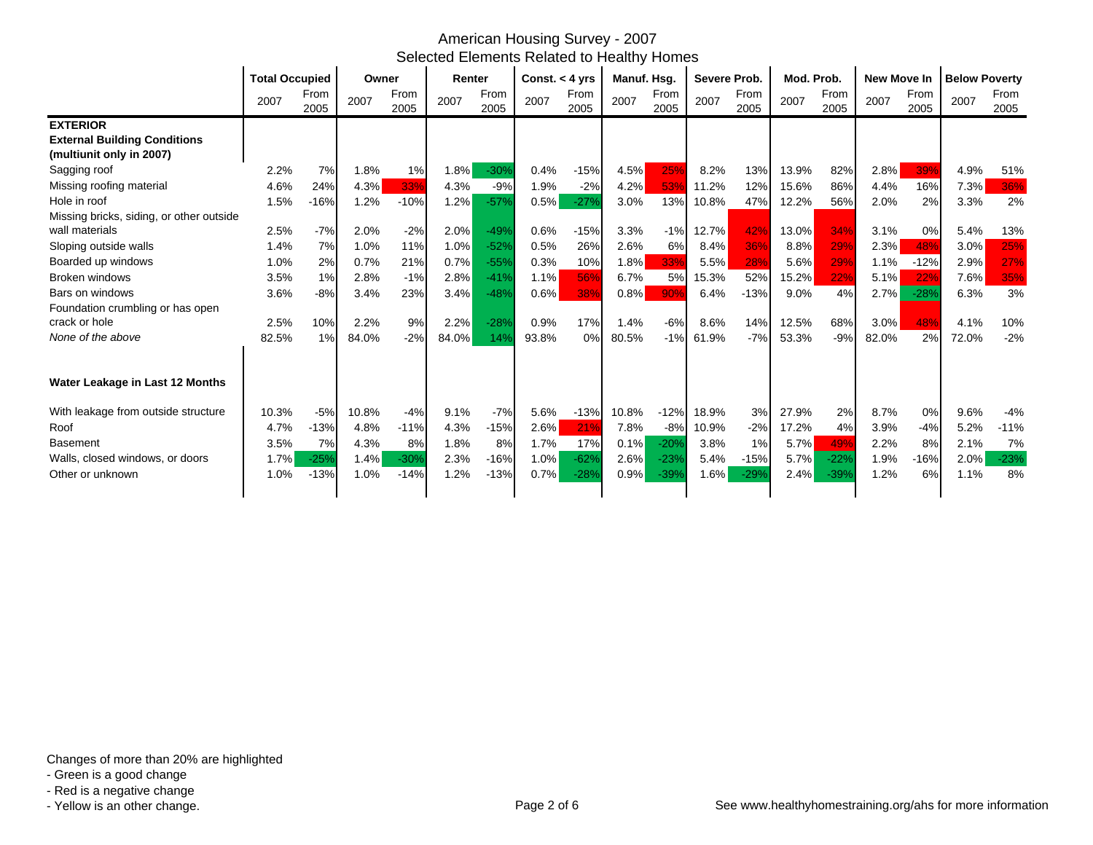|                                          | <b>Total Occupied</b> |              | Owner |              | Renter |              | Const. $<$ 4 yrs |              | Manuf. Hsg. |              | Severe Prob. |              | Mod. Prob. |              | <b>New Move In</b> |              | <b>Below Poverty</b> |              |
|------------------------------------------|-----------------------|--------------|-------|--------------|--------|--------------|------------------|--------------|-------------|--------------|--------------|--------------|------------|--------------|--------------------|--------------|----------------------|--------------|
|                                          | 2007                  | From<br>2005 | 2007  | From<br>2005 | 2007   | From<br>2005 | 2007             | From<br>2005 | 2007        | From<br>2005 | 2007         | From<br>2005 | 2007       | From<br>2005 | 2007               | From<br>2005 | 2007                 | From<br>2005 |
| <b>EXTERIOR</b>                          |                       |              |       |              |        |              |                  |              |             |              |              |              |            |              |                    |              |                      |              |
| <b>External Building Conditions</b>      |                       |              |       |              |        |              |                  |              |             |              |              |              |            |              |                    |              |                      |              |
| (multiunit only in 2007)                 |                       |              |       |              |        |              |                  |              |             |              |              |              |            |              |                    |              |                      |              |
| Sagging roof                             | 2.2%                  | 7%           | 1.8%  | 1%           | 1.8%   | $-30%$       | 0.4%             | $-15%$       | 4.5%        | 25%          | 8.2%         | 13%          | 13.9%      | 82%          | 2.8%               | 39%          | 4.9%                 | 51%          |
| Missing roofing material                 | 4.6%                  | 24%          | 4.3%  | 33%          | 4.3%   | $-9%$        | 1.9%             | $-2%$        | 4.2%        | 53%          | 11.2%        | 12%          | 15.6%      | 86%          | 4.4%               | 16%          | 7.3%                 | 36%          |
| Hole in roof                             | 1.5%                  | $-16%$       | 1.2%  | $-10%$       | 1.2%   | $-57%$       | 0.5%             | $-27%$       | 3.0%        | 13%          | 10.8%        | 47%          | 12.2%      | 56%          | 2.0%               | 2%           | 3.3%                 | 2%           |
| Missing bricks, siding, or other outside |                       |              |       |              |        |              |                  |              |             |              |              |              |            |              |                    |              |                      |              |
| wall materials                           | 2.5%                  | $-7%$        | 2.0%  | $-2%$        | 2.0%   | $-49%$       | 0.6%             | $-15%$       | 3.3%        | $-1%$        | 12.7%        | 42%          | 13.0%      | 34%          | 3.1%               | 0%           | 5.4%                 | 13%          |
| Sloping outside walls                    | 1.4%                  | 7%           | 1.0%  | 11%          | 1.0%   | $-52%$       | 0.5%             | 26%          | 2.6%        | 6%           | 8.4%         | 36%          | 8.8%       | 29%          | 2.3%               | 48%          | 3.0%                 | 25%          |
| Boarded up windows                       | 1.0%                  | 2%           | 0.7%  | 21%          | 0.7%   | $-55%$       | 0.3%             | 10%          | 1.8%        | 33%          | 5.5%         | 28%          | 5.6%       | 29%          | 1.1%               | $-12%$       | 2.9%                 | 27%          |
| <b>Broken windows</b>                    | 3.5%                  | 1%           | 2.8%  | $-1%$        | 2.8%   | $-41%$       | 1.1%             | 56%          | 6.7%        | 5%           | 15.3%        | 52%          | 15.2%      | 22%          | 5.1%               | 22%          | 7.6%                 | 35%          |
| Bars on windows                          | 3.6%                  | $-8%$        | 3.4%  | 23%          | 3.4%   | $-48%$       | $0.6\%$          | 38%          | 0.8%        | 90%          | 6.4%         | $-13%$       | 9.0%       | 4%           | 2.7%               | $-28%$       | 6.3%                 | 3%           |
| Foundation crumbling or has open         |                       |              |       |              |        |              |                  |              |             |              |              |              |            |              |                    |              |                      |              |
| crack or hole                            | 2.5%                  | 10%          | 2.2%  | 9%           | 2.2%   | $-28%$       | 0.9%             | 17%          | 1.4%        | $-6%$        | 8.6%         | 14%          | 12.5%      | 68%          | 3.0%               | 48%          | 4.1%                 | 10%          |
| None of the above                        | 82.5%                 | 1%           | 84.0% | $-2%$        | 84.0%  | 14%          | 93.8%            | 0%           | 80.5%       | $-1%$        | 61.9%        | $-7%$        | 53.3%      | $-9%$        | 82.0%              | 2%           | 72.0%                | $-2%$        |
|                                          |                       |              |       |              |        |              |                  |              |             |              |              |              |            |              |                    |              |                      |              |
| Water Leakage in Last 12 Months          |                       |              |       |              |        |              |                  |              |             |              |              |              |            |              |                    |              |                      |              |
| With leakage from outside structure      | 10.3%                 | $-5%$        | 10.8% | $-4%$        | 9.1%   | $-7%$        | 5.6%             | $-13%$       | 10.8%       | $-12%$       | 18.9%        | 3%           | 27.9%      | 2%           | 8.7%               | 0%           | 9.6%                 | $-4%$        |
| Roof                                     | 4.7%                  | $-13%$       | 4.8%  | $-11%$       | 4.3%   | $-15%$       | 2.6%             | 21%          | 7.8%        | $-8%$        | 10.9%        | $-2%$        | 17.2%      | 4%           | 3.9%               | $-4%$        | 5.2%                 | $-11%$       |
| <b>Basement</b>                          | 3.5%                  | 7%           | 4.3%  | 8%           | 1.8%   | 8%           | 1.7%             | 17%          | 0.1%        | $-20%$       | 3.8%         | 1%           | 5.7%       | 49%          | 2.2%               | 8%           | 2.1%                 | 7%           |
| Walls, closed windows, or doors          | 1.7%                  | $-25%$       | 1.4%  | $-30%$       | 2.3%   | $-16%$       | 1.0%             | $-62%$       | 2.6%        | $-239$       | 5.4%         | $-15%$       | 5.7%       | $-22%$       | 1.9%               | $-16%$       | 2.0%                 | $-23%$       |
| Other or unknown                         | 1.0%                  | $-13%$       | 1.0%  | $-14%$       | 1.2%   | $-13%$       | 0.7%             | $-28%$       | 0.9%        | $-39%$       | 1.6%         | $-29%$       | 2.4%       | $-39%$       | 1.2%               | 6%           | 1.1%                 | 8%           |
|                                          |                       |              |       |              |        |              |                  |              |             |              |              |              |            |              |                    |              |                      |              |

- Green is a good change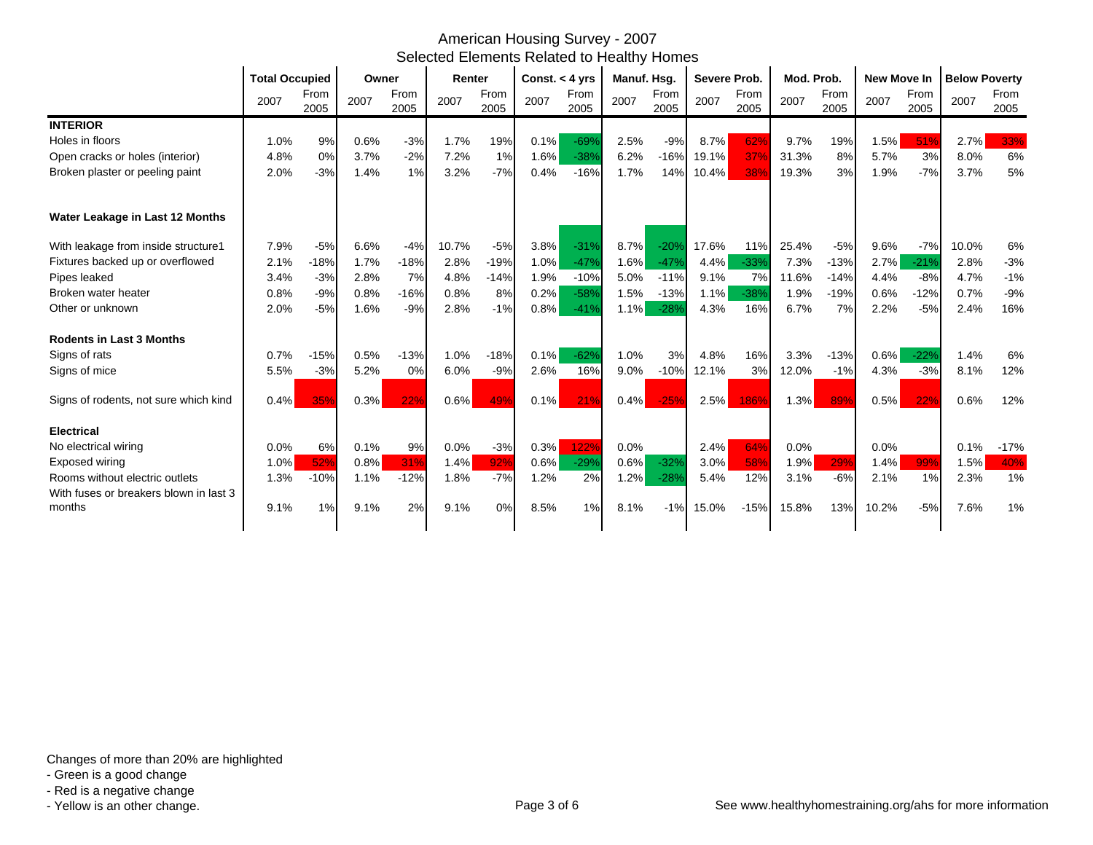|                                        |      | <b>Total Occupied</b> |      | Owner        |       | Renter       |         | Const. $<$ 4 yrs |      | Manuf. Hsg.  |       | Severe Prob. |       | Mod. Prob.   |         | <b>New Move In</b> |       | <b>Below Poverty</b> |  |
|----------------------------------------|------|-----------------------|------|--------------|-------|--------------|---------|------------------|------|--------------|-------|--------------|-------|--------------|---------|--------------------|-------|----------------------|--|
|                                        | 2007 | From<br>2005          | 2007 | From<br>2005 | 2007  | From<br>2005 | 2007    | From<br>2005     | 2007 | From<br>2005 | 2007  | From<br>2005 | 2007  | From<br>2005 | 2007    | From<br>2005       | 2007  | From<br>2005         |  |
| <b>INTERIOR</b>                        |      |                       |      |              |       |              |         |                  |      |              |       |              |       |              |         |                    |       |                      |  |
| Holes in floors                        | 1.0% | 9%                    | 0.6% | $-3%$        | 1.7%  | 19%          | 0.1%    | $-69%$           | 2.5% | $-9%$        | 8.7%  | 62%          | 9.7%  | 19%          | 1.5%    | 51%                | 2.7%  | 33%                  |  |
| Open cracks or holes (interior)        | 4.8% | 0%                    | 3.7% | $-2%$        | 7.2%  | 1%           | 1.6%    | $-38%$           | 6.2% | $-16%$       | 19.1% | 37%          | 31.3% | 8%           | 5.7%    | 3%                 | 8.0%  | 6%                   |  |
| Broken plaster or peeling paint        | 2.0% | $-3%$                 | 1.4% | 1%           | 3.2%  | $-7%$        | 0.4%    | $-16%$           | 1.7% | 14%          | 10.4% | 38%          | 19.3% | 3%           | 1.9%    | $-7%$              | 3.7%  | 5%                   |  |
| Water Leakage in Last 12 Months        |      |                       |      |              |       |              |         |                  |      |              |       |              |       |              |         |                    |       |                      |  |
| With leakage from inside structure1    | 7.9% | $-5%$                 | 6.6% | $-4%$        | 10.7% | $-5%$        | 3.8%    | $-31%$           | 8.7% | $-20%$       | 17.6% | 11%          | 25.4% | $-5%$        | 9.6%    | $-7%$              | 10.0% | 6%                   |  |
| Fixtures backed up or overflowed       | 2.1% | $-18%$                | 1.7% | $-18%$       | 2.8%  | $-19%$       | 1.0%    | $-47%$           | 1.6% | $-47%$       | 4.4%  | $-33%$       | 7.3%  | $-13%$       | 2.7%    | $-21%$             | 2.8%  | $-3%$                |  |
| Pipes leaked                           | 3.4% | $-3%$                 | 2.8% | 7%           | 4.8%  | $-14%$       | 1.9%    | $-10%$           | 5.0% | $-11%$       | 9.1%  | 7%           | 11.6% | $-14%$       | 4.4%    | $-8%$              | 4.7%  | $-1%$                |  |
| Broken water heater                    | 0.8% | $-9%$                 | 0.8% | $-16%$       | 0.8%  | 8%           | 0.2%    | $-58%$           | 1.5% | $-13%$       | 1.1%  | $-38%$       | 1.9%  | $-19%$       | 0.6%    | $-12%$             | 0.7%  | $-9%$                |  |
| Other or unknown                       | 2.0% | $-5%$                 | 1.6% | $-9%$        | 2.8%  | $-1%$        | 0.8%    | $-41%$           | 1.1% | $-28%$       | 4.3%  | 16%          | 6.7%  | 7%           | 2.2%    | $-5%$              | 2.4%  | 16%                  |  |
| <b>Rodents in Last 3 Months</b>        |      |                       |      |              |       |              |         |                  |      |              |       |              |       |              |         |                    |       |                      |  |
| Signs of rats                          | 0.7% | $-15%$                | 0.5% | $-13%$       | 1.0%  | $-18%$       | 0.1%    | $-62%$           | 1.0% | 3%           | 4.8%  | 16%          | 3.3%  | $-13%$       | $0.6\%$ | $-22%$             | 1.4%  | 6%                   |  |
| Signs of mice                          | 5.5% | $-3%$                 | 5.2% | 0%           | 6.0%  | $-9%$        | 2.6%    | 16%              | 9.0% | $-10%$       | 12.1% | 3%           | 12.0% | $-1%$        | 4.3%    | $-3%$              | 8.1%  | 12%                  |  |
| Signs of rodents, not sure which kind  | 0.4% | 35%                   | 0.3% | 22%          | 0.6%  | 49%          | $0.1\%$ | 21%              | 0.4% | $-25%$       | 2.5%  | 186%         | 1.3%  | 89%          | 0.5%    | 22%                | 0.6%  | 12%                  |  |
| <b>Electrical</b>                      |      |                       |      |              |       |              |         |                  |      |              |       |              |       |              |         |                    |       |                      |  |
| No electrical wiring                   | 0.0% | 6%                    | 0.1% | 9%           | 0.0%  | $-3%$        | 0.3%    | 122%             | 0.0% |              | 2.4%  | 64%          | 0.0%  |              | 0.0%    |                    | 0.1%  | $-17%$               |  |
| Exposed wiring                         | 1.0% | 52%                   | 0.8% | 31%          | 1.4%  | 92%          | 0.6%    | $-29%$           | 0.6% | $-32%$       | 3.0%  | 58%          | 1.9%  | 29%          | 1.4%    | 99%                | 1.5%  | 40%                  |  |
| Rooms without electric outlets         | 1.3% | $-10%$                | 1.1% | $-12%$       | 1.8%  | $-7%$        | 1.2%    | 2%               | 1.2% | $-289$       | 5.4%  | 12%          | 3.1%  | $-6%$        | 2.1%    | 1%                 | 2.3%  | 1%                   |  |
| With fuses or breakers blown in last 3 |      |                       |      |              |       |              |         |                  |      |              |       |              |       |              |         |                    |       |                      |  |
| months                                 | 9.1% | 1%                    | 9.1% | 2%           | 9.1%  | 0%           | 8.5%    | 1%               | 8.1% | $-1%$        | 15.0% | $-15%$       | 15.8% | 13%          | 10.2%   | $-5%$              | 7.6%  | 1%                   |  |
|                                        |      |                       |      |              |       |              |         |                  |      |              |       |              |       |              |         |                    |       |                      |  |

- Green is a good change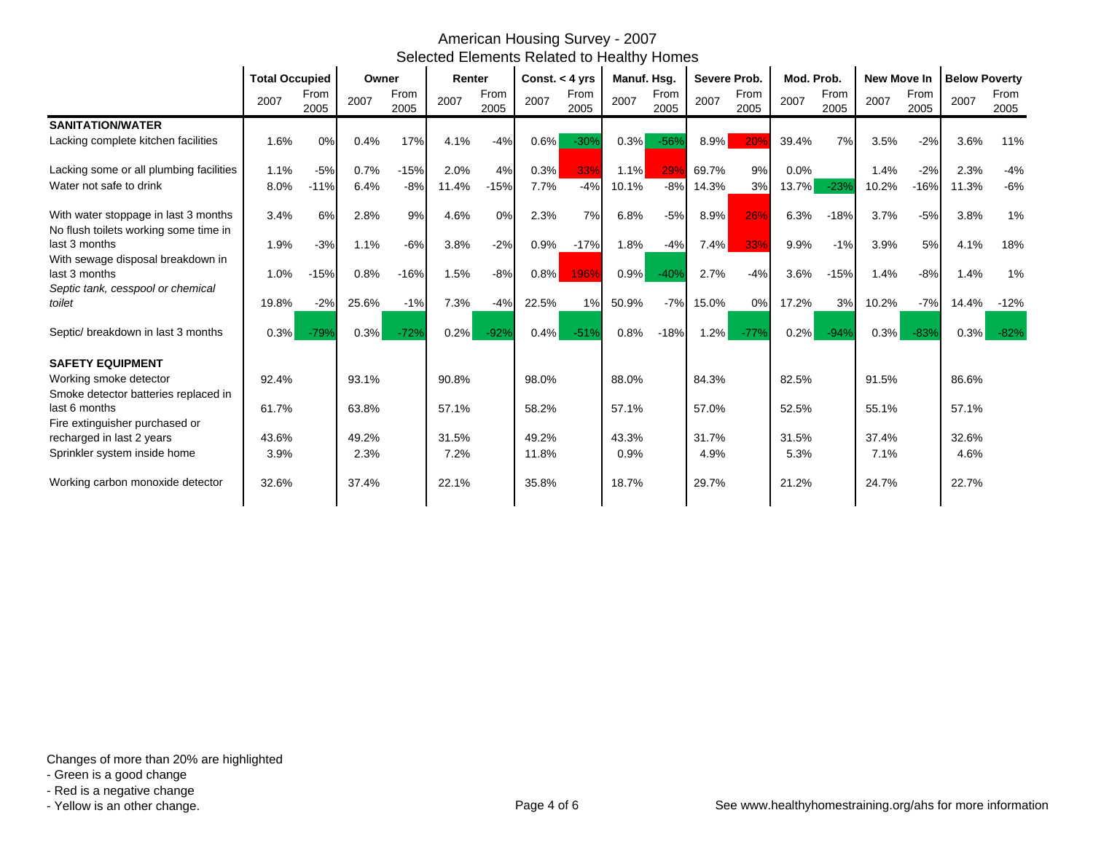|                                                                |       | <b>Total Occupied</b> |       | Owner        |       | Renter       |         | Const. $<$ 4 yrs |         | Manuf. Hsg.  |         | Severe Prob. |         | Mod. Prob.   |       | <b>New Move In</b> |       | <b>Below Poverty</b> |  |
|----------------------------------------------------------------|-------|-----------------------|-------|--------------|-------|--------------|---------|------------------|---------|--------------|---------|--------------|---------|--------------|-------|--------------------|-------|----------------------|--|
|                                                                | 2007  | From<br>2005          | 2007  | From<br>2005 | 2007  | From<br>2005 | 2007    | From<br>2005     | 2007    | From<br>2005 | 2007    | From<br>2005 | 2007    | From<br>2005 | 2007  | From<br>2005       | 2007  | From<br>2005         |  |
| <b>SANITATION/WATER</b>                                        |       |                       |       |              |       |              |         |                  |         |              |         |              |         |              |       |                    |       |                      |  |
| Lacking complete kitchen facilities                            | 1.6%  | 0%                    | 0.4%  | 17%          | 4.1%  | $-4%$        | 0.6%    | $-30%$           | 0.3%    | $-56%$       | 8.9%    | 20%          | 39.4%   | 7%           | 3.5%  | $-2%$              | 3.6%  | 11%                  |  |
| Lacking some or all plumbing facilities                        | 1.1%  | $-5%$                 | 0.7%  | $-15%$       | 2.0%  | 4%           | 0.3%    | 33%              | 1.1%    | 29%          | 69.7%   | 9%           | $0.0\%$ |              | 1.4%  | $-2%$              | 2.3%  | $-4%$                |  |
| Water not safe to drink                                        | 8.0%  | $-11%$                | 6.4%  | $-8%$        | 11.4% | $-15%$       | 7.7%    | $-4%$            | 10.1%   | $-8%$        | 14.3%   | 3%           | 13.7%   | $-23%$       | 10.2% | $-16%$             | 11.3% | $-6%$                |  |
| With water stoppage in last 3 months                           | 3.4%  | 6%                    | 2.8%  | 9%           | 4.6%  | 0%           | 2.3%    | 7%               | 6.8%    | $-5%$        | 8.9%    | 26%          | 6.3%    | $-18%$       | 3.7%  | $-5%$              | 3.8%  | 1%                   |  |
| No flush toilets working some time in<br>last 3 months         | 1.9%  | $-3%$                 | 1.1%  | $-6%$        | 3.8%  | $-2%$        | 0.9%    | $-17%$           | 1.8%    | $-4%$        | 7.4%    | 33%          | 9.9%    | $-1%$        | 3.9%  | 5%                 | 4.1%  | 18%                  |  |
| With sewage disposal breakdown in<br>last 3 months             | 1.0%  | $-15%$                | 0.8%  | $-16%$       | 1.5%  | $-8%$        | $0.8\%$ | 196%             | $0.9\%$ | $-40%$       | 2.7%    | $-4%$        | 3.6%    | $-15%$       | 1.4%  | $-8%$              | 1.4%  | 1%                   |  |
| Septic tank, cesspool or chemical<br>toilet                    | 19.8% | $-2%$                 | 25.6% | $-1%$        | 7.3%  | $-4%$        | 22.5%   | 1%               | 50.9%   | $-7%$        | 15.0%   | 0%           | 17.2%   | 3%           | 10.2% | $-7%$              | 14.4% | $-12%$               |  |
|                                                                |       |                       |       |              |       |              |         |                  |         |              |         |              |         |              |       |                    |       |                      |  |
| Septic/breakdown in last 3 months                              | 0.3%  | $-79%$                | 0.3%  | $-72%$       | 0.2%  | $-92%$       | $0.4\%$ | $-51%$           | 0.8%    | $-18%$       | $1.2\%$ | $-77%$       | $0.2\%$ | $-94%$       | 0.3%  | $-83%$             | 0.3%  | $-82%$               |  |
| <b>SAFETY EQUIPMENT</b>                                        |       |                       |       |              |       |              |         |                  |         |              |         |              |         |              |       |                    |       |                      |  |
| Working smoke detector<br>Smoke detector batteries replaced in | 92.4% |                       | 93.1% |              | 90.8% |              | 98.0%   |                  | 88.0%   |              | 84.3%   |              | 82.5%   |              | 91.5% |                    | 86.6% |                      |  |
| last 6 months                                                  | 61.7% |                       | 63.8% |              | 57.1% |              | 58.2%   |                  | 57.1%   |              | 57.0%   |              | 52.5%   |              | 55.1% |                    | 57.1% |                      |  |
| Fire extinguisher purchased or                                 |       |                       |       |              |       |              |         |                  |         |              |         |              |         |              |       |                    |       |                      |  |
| recharged in last 2 years                                      | 43.6% |                       | 49.2% |              | 31.5% |              | 49.2%   |                  | 43.3%   |              | 31.7%   |              | 31.5%   |              | 37.4% |                    | 32.6% |                      |  |
| Sprinkler system inside home                                   | 3.9%  |                       | 2.3%  |              | 7.2%  |              | 11.8%   |                  | 0.9%    |              | 4.9%    |              | 5.3%    |              | 7.1%  |                    | 4.6%  |                      |  |
| Working carbon monoxide detector                               | 32.6% |                       | 37.4% |              | 22.1% |              | 35.8%   |                  | 18.7%   |              | 29.7%   |              | 21.2%   |              | 24.7% |                    | 22.7% |                      |  |

- Green is a good change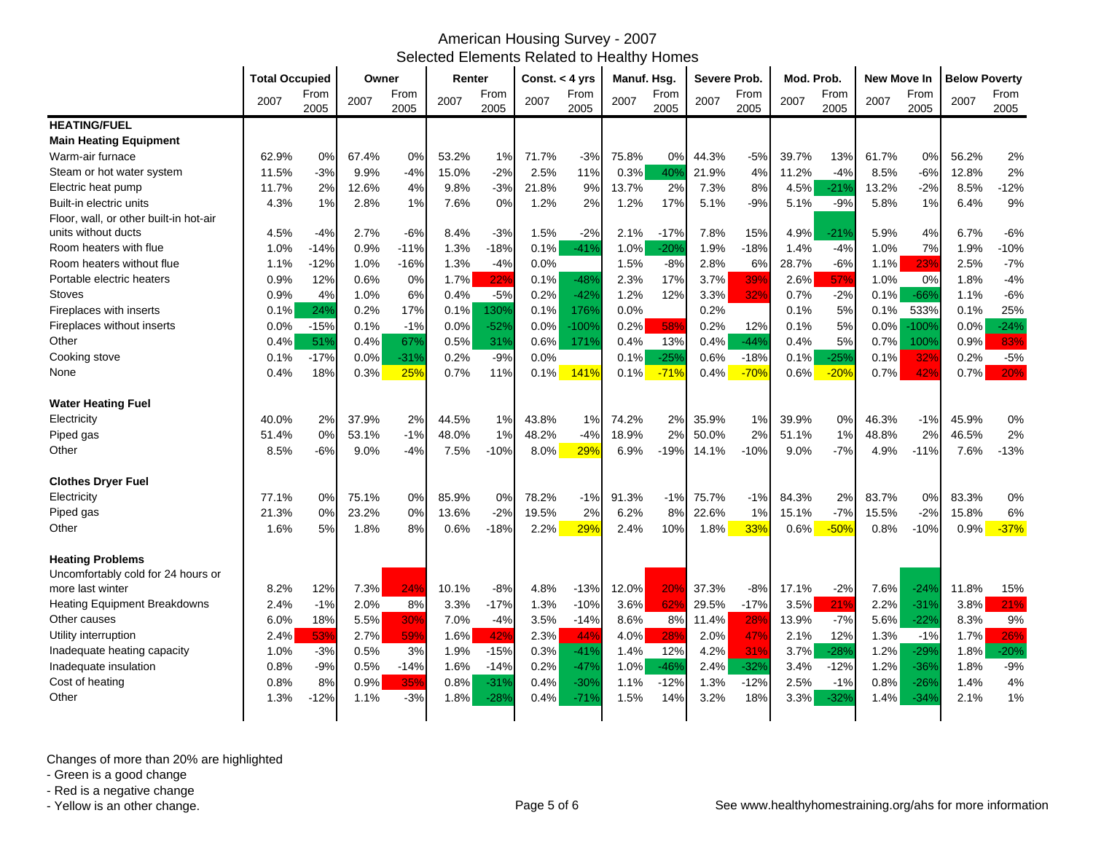|                                        | <b>Total Occupied</b> |              | Owner |              | Renter |              | Const. < 4 yrs |              | Manuf. Hsg. |              | <b>Severe Prob.</b> |              | Mod. Prob. |              | <b>New Move In</b> |              | <b>Below Poverty</b> |              |
|----------------------------------------|-----------------------|--------------|-------|--------------|--------|--------------|----------------|--------------|-------------|--------------|---------------------|--------------|------------|--------------|--------------------|--------------|----------------------|--------------|
|                                        | 2007                  | From<br>2005 | 2007  | From<br>2005 | 2007   | From<br>2005 | 2007           | From<br>2005 | 2007        | From<br>2005 | 2007                | From<br>2005 | 2007       | From<br>2005 | 2007               | From<br>2005 | 2007                 | From<br>2005 |
| <b>HEATING/FUEL</b>                    |                       |              |       |              |        |              |                |              |             |              |                     |              |            |              |                    |              |                      |              |
| <b>Main Heating Equipment</b>          |                       |              |       |              |        |              |                |              |             |              |                     |              |            |              |                    |              |                      |              |
| Warm-air furnace                       | 62.9%                 | 0%           | 67.4% | 0%           | 53.2%  | 1%           | 71.7%          | $-3%$        | 75.8%       | $0\%$        | 44.3%               | $-5%$        | 39.7%      | 13%          | 61.7%              | 0%           | 56.2%                | 2%           |
| Steam or hot water system              | 11.5%                 | $-3%$        | 9.9%  | $-4%$        | 15.0%  | $-2%$        | 2.5%           | 11%          | 0.3%        | 40%          | 21.9%               | 4%           | 11.2%      | $-4%$        | 8.5%               | $-6%$        | 12.8%                | 2%           |
| Electric heat pump                     | 11.7%                 | 2%           | 12.6% | 4%           | 9.8%   | $-3%$        | 21.8%          | 9%           | 13.7%       | 2%           | 7.3%                | 8%           | 4.5%       | $-21%$       | 13.2%              | $-2%$        | 8.5%                 | $-12%$       |
| Built-in electric units                | 4.3%                  | 1%           | 2.8%  | 1%           | 7.6%   | 0%           | 1.2%           | 2%           | 1.2%        | 17%          | 5.1%                | $-9%$        | 5.1%       | $-9%$        | 5.8%               | 1%           | 6.4%                 | 9%           |
| Floor, wall, or other built-in hot-air |                       |              |       |              |        |              |                |              |             |              |                     |              |            |              |                    |              |                      |              |
| units without ducts                    | 4.5%                  | $-4%$        | 2.7%  | $-6%$        | 8.4%   | $-3%$        | 1.5%           | $-2%$        | 2.1%        | $-17%$       | 7.8%                | 15%          | 4.9%       | $-21%$       | 5.9%               | 4%           | 6.7%                 | $-6%$        |
| Room heaters with flue                 | 1.0%                  | $-14%$       | 0.9%  | $-11%$       | 1.3%   | $-18%$       | 0.1%           | $-41%$       | 1.0%        | $-20%$       | 1.9%                | $-18%$       | 1.4%       | $-4%$        | 1.0%               | 7%           | 1.9%                 | $-10%$       |
| Room heaters without flue              | 1.1%                  | $-12%$       | 1.0%  | $-16%$       | 1.3%   | $-4%$        | 0.0%           |              | 1.5%        | $-8%$        | 2.8%                | 6%           | 28.7%      | $-6%$        | 1.1%               | 23%          | 2.5%                 | $-7%$        |
| Portable electric heaters              | 0.9%                  | 12%          | 0.6%  | 0%           | 1.7%   | 22%          | 0.1%           | $-48%$       | 2.3%        | 17%          | 3.7%                | 39%          | 2.6%       | 57%          | 1.0%               | 0%           | 1.8%                 | $-4%$        |
| <b>Stoves</b>                          | 0.9%                  | 4%           | 1.0%  | 6%           | 0.4%   | $-5%$        | 0.2%           | $-42%$       | 1.2%        | 12%          | 3.3%                | 32%          | 0.7%       | $-2%$        | 0.1%               | $-66%$       | 1.1%                 | $-6%$        |
| Fireplaces with inserts                | 0.1%                  | 24%          | 0.2%  | 17%          | 0.1%   | 130%         | 0.1%           | 176%         | 0.0%        |              | 0.2%                |              | 0.1%       | 5%           | 0.1%               | 533%         | 0.1%                 | 25%          |
| Fireplaces without inserts             | $0.0\%$               | $-15%$       | 0.1%  | $-1%$        | 0.0%   | $-52%$       | 0.0%           | $-100%$      | 0.2%        | 58%          | 0.2%                | 12%          | 0.1%       | 5%           | 0.0%               | $-100%$      | 0.0%                 | $-24%$       |
| Other                                  | 0.4%                  | 51%          | 0.4%  | 67%          | 0.5%   | 31%          | 0.6%           | 171%         | 0.4%        | 13%          | 0.4%                | $-44%$       | 0.4%       | 5%           | 0.7%               | 100%         | 0.9%                 | 83%          |
| Cooking stove                          | 0.1%                  | $-17%$       | 0.0%  | $-31%$       | 0.2%   | $-9%$        | 0.0%           |              | 0.1%        | $-25%$       | 0.6%                | $-18%$       | 0.1%       | $-25%$       | 0.1%               | 32%          | 0.2%                 | $-5%$        |
| None                                   | 0.4%                  | 18%          | 0.3%  | 25%          | 0.7%   | 11%          | 0.1%           | 141%         | 0.1%        | $-71%$       | 0.4%                | $-70%$       | 0.6%       | $-20%$       | 0.7%               | 42%          | 0.7%                 | 20%          |
| <b>Water Heating Fuel</b>              |                       |              |       |              |        |              |                |              |             |              |                     |              |            |              |                    |              |                      |              |
| Electricity                            | 40.0%                 | 2%           | 37.9% | 2%           | 44.5%  | 1%           | 43.8%          | 1%           | 74.2%       | 2%           | 35.9%               | 1%           | 39.9%      | 0%           | 46.3%              | $-1%$        | 45.9%                | 0%           |
| Piped gas                              | 51.4%                 | 0%           | 53.1% | $-1%$        | 48.0%  | 1%           | 48.2%          | $-4%$        | 18.9%       | 2%           | 50.0%               | 2%           | 51.1%      | 1%           | 48.8%              | 2%           | 46.5%                | 2%           |
| Other                                  | 8.5%                  | $-6%$        | 9.0%  | -4%          | 7.5%   | $-10%$       | 8.0%           | 29%          | 6.9%        | $-19%$       | 14.1%               | $-10%$       | 9.0%       | $-7%$        | 4.9%               | $-11%$       | 7.6%                 | $-13%$       |
| <b>Clothes Dryer Fuel</b>              |                       |              |       |              |        |              |                |              |             |              |                     |              |            |              |                    |              |                      |              |
| Electricity                            | 77.1%                 | 0%           | 75.1% | 0%           | 85.9%  | 0%           | 78.2%          | $-1%$        | 91.3%       | $-1%$        | 75.7%               | $-1%$        | 84.3%      | 2%           | 83.7%              | 0%           | 83.3%                | 0%           |
| Piped gas                              | 21.3%                 | 0%           | 23.2% | 0%           | 13.6%  | $-2%$        | 19.5%          | 2%           | 6.2%        | 8%           | 22.6%               | 1%           | 15.1%      | $-7%$        | 15.5%              | $-2%$        | 15.8%                | 6%           |
| Other                                  | 1.6%                  | 5%           | 1.8%  | 8%           | 0.6%   | $-18%$       | 2.2%           | 29%          | 2.4%        | 10%          | 1.8%                | 33%          | 0.6%       | $-50%$       | 0.8%               | $-10%$       | 0.9%                 | $-37%$       |
| <b>Heating Problems</b>                |                       |              |       |              |        |              |                |              |             |              |                     |              |            |              |                    |              |                      |              |
| Uncomfortably cold for 24 hours or     |                       |              |       |              |        |              |                |              |             |              |                     |              |            |              |                    |              |                      |              |
| more last winter                       | 8.2%                  | 12%          | 7.3%  | 24%          | 10.1%  | $-8%$        | 4.8%           | $-13%$       | 12.0%       | 20%          | 37.3%               | $-8%$        | 17.1%      | $-2%$        | 7.6%               | $-24%$       | 11.8%                | 15%          |
| <b>Heating Equipment Breakdowns</b>    | 2.4%                  | $-1%$        | 2.0%  | 8%           | 3.3%   | $-17%$       | 1.3%           | $-10%$       | 3.6%        | 62%          | 29.5%               | $-17%$       | 3.5%       | 21%          | 2.2%               | $-31%$       | 3.8%                 | 21%          |
| Other causes                           | 6.0%                  | 18%          | 5.5%  | 30%          | 7.0%   | $-4%$        | 3.5%           | $-14%$       | 8.6%        | 8%           | 11.4%               | 28%          | 13.9%      | $-7%$        | 5.6%               | $-22%$       | 8.3%                 | 9%           |
| Utility interruption                   | 2.4%                  | 53%          | 2.7%  | 59%          | 1.6%   | 42%          | 2.3%           | 44%          | 4.0%        | 28%          | 2.0%                | 47%          | 2.1%       | 12%          | 1.3%               | $-1%$        | 1.7%                 | 26%          |
| Inadequate heating capacity            | 1.0%                  | $-3%$        | 0.5%  | 3%           | 1.9%   | $-15%$       | 0.3%           | $-41%$       | 1.4%        | 12%          | 4.2%                | 31%          | 3.7%       | $-28%$       | 1.2%               | $-29%$       | 1.8%                 | $-20%$       |
| Inadequate insulation                  | $0.8\%$               | $-9%$        | 0.5%  | $-14%$       | 1.6%   | $-14%$       | 0.2%           | $-47%$       | 1.0%        | -46%         | 2.4%                | $-32%$       | 3.4%       | $-12%$       | 1.2%               | $-36%$       | 1.8%                 | $-9%$        |
| Cost of heating                        | 0.8%                  | 8%           | 0.9%  | 35%          | 0.8%   | $-31%$       | 0.4%           | $-30%$       | 1.1%        | $-12%$       | 1.3%                | $-12%$       | 2.5%       | $-1%$        | 0.8%               | $-26%$       | 1.4%                 | 4%           |
| Other                                  | 1.3%                  | $-12%$       | 1.1%  | $-3%$        | 1.8%   | $-28%$       | 0.4%           | $-71%$       | 1.5%        | 14%          | 3.2%                | 18%          | 3.3%       | $-32%$       | 1.4%               | $-34%$       | 2.1%                 | 1%           |
|                                        |                       |              |       |              |        |              |                |              |             |              |                     |              |            |              |                    |              |                      |              |

Changes of more than 20% are highlighted

- Green is a good change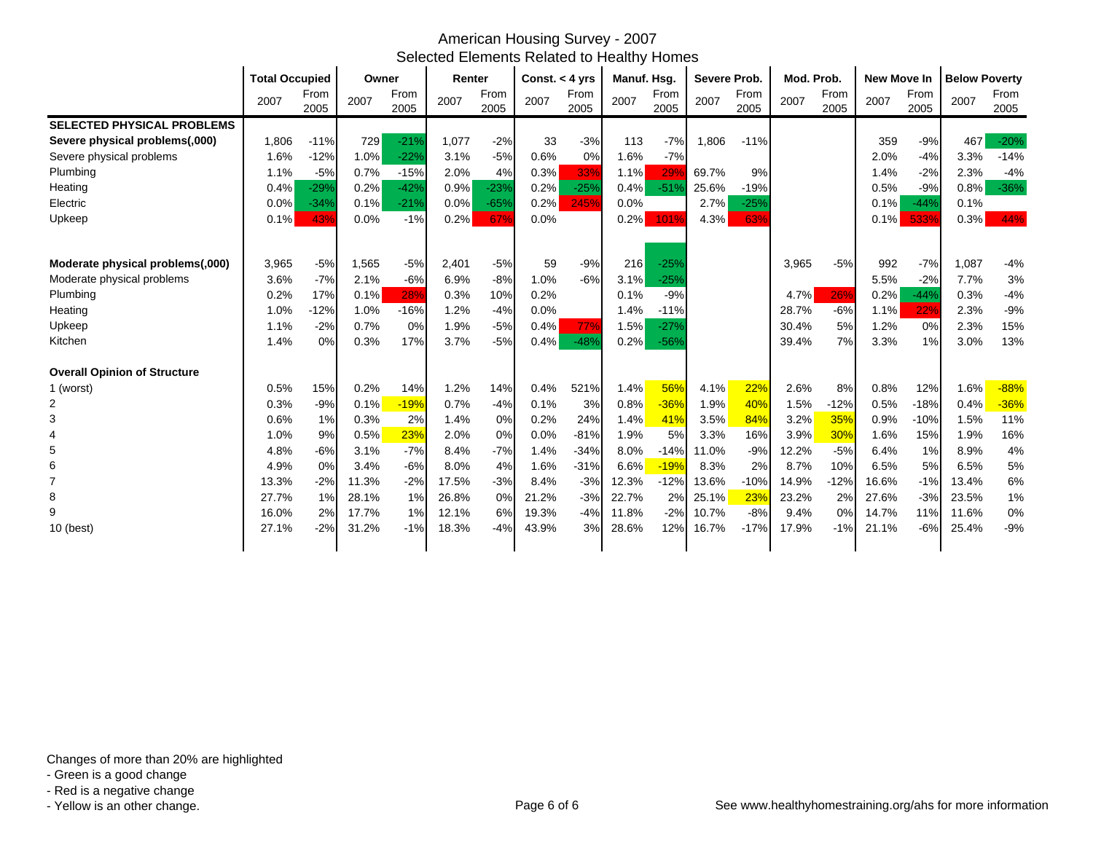|                                     | <b>Total Occupied</b> |              | Owner |              | Renter |              | Const. $<$ 4 yrs |              | Manuf. Hsg. |                 | Severe Prob. |              | Mod. Prob. |              | New Move In |              | <b>Below Poverty</b> |              |
|-------------------------------------|-----------------------|--------------|-------|--------------|--------|--------------|------------------|--------------|-------------|-----------------|--------------|--------------|------------|--------------|-------------|--------------|----------------------|--------------|
|                                     | 2007                  | From<br>2005 | 2007  | From<br>2005 | 2007   | From<br>2005 | 2007             | From<br>2005 | 2007        | From<br>2005    | 2007         | From<br>2005 | 2007       | From<br>2005 | 2007        | From<br>2005 | 2007                 | From<br>2005 |
| <b>SELECTED PHYSICAL PROBLEMS</b>   |                       |              |       |              |        |              |                  |              |             |                 |              |              |            |              |             |              |                      |              |
| Severe physical problems(,000)      | 1,806                 | $-11%$       | 729   | $-21%$       | 1,077  | $-2%$        | 33               | $-3%$        | 113         | $-7%$           | 1,806        | $-11%$       |            |              | 359         | $-9%$        | 467                  | $-20%$       |
| Severe physical problems            | 1.6%                  | $-12%$       | 1.0%  | $-22%$       | 3.1%   | $-5%$        | 0.6%             | 0%           | 1.6%        | $-7%$           |              |              |            |              | 2.0%        | $-4%$        | 3.3%                 | $-14%$       |
| Plumbing                            | 1.1%                  | $-5%$        | 0.7%  | $-15%$       | 2.0%   | 4%           | 0.3%             | 33%          | 1.1%        | 29 <sup>o</sup> | 69.7%        | 9%           |            |              | 1.4%        | $-2%$        | 2.3%                 | $-4%$        |
| Heating                             | 0.4%                  | $-29%$       | 0.2%  | $-42%$       | 0.9%   | $-23%$       | 0.2%             | $-25%$       | 0.4%        | $-51%$          | 25.6%        | $-19%$       |            |              | 0.5%        | $-9%$        | 0.8%                 | $-36%$       |
| Electric                            | 0.0%                  | $-34%$       | 0.1%  | $-21%$       | 0.0%   | $-65%$       | 0.2%             | 245%         | 0.0%        |                 | 2.7%         | $-25%$       |            |              | 0.1%        | $-44%$       | 0.1%                 |              |
| Upkeep                              | 0.1%                  | 43%          | 0.0%  | $-1%$        | 0.2%   | 67%          | 0.0%             |              | 0.2%        | 101%            | 4.3%         | 63%          |            |              | 0.1%        | 533%         | 0.3%                 | 44%          |
| Moderate physical problems(,000)    | 3,965                 | $-5%$        | 1,565 | $-5%$        | 2,401  | $-5%$        | 59               | $-9%$        | 216         | $-25%$          |              |              | 3,965      | $-5%$        | 992         | $-7%$        | 1,087                | $-4%$        |
| Moderate physical problems          | 3.6%                  | $-7%$        | 2.1%  | $-6%$        | 6.9%   | $-8%$        | 1.0%             | $-6%$        | 3.1%        | $-25%$          |              |              |            |              | 5.5%        | $-2%$        | 7.7%                 | 3%           |
| Plumbing                            | 0.2%                  | 17%          | 0.1%  | 28%          | 0.3%   | 10%          | 0.2%             |              | 0.1%        | $-9%$           |              |              | 4.7%       | 26%          | 0.2%        | $-44%$       | 0.3%                 | $-4%$        |
| Heating                             | 1.0%                  | $-12%$       | 1.0%  | $-16%$       | 1.2%   | $-4%$        | 0.0%             |              | 1.4%        | $-11%$          |              |              | 28.7%      | $-6%$        | 1.1%        | 22%          | 2.3%                 | $-9%$        |
| Upkeep                              | 1.1%                  | $-2%$        | 0.7%  | 0%           | 1.9%   | $-5%$        | 0.4%             | 77%          | 1.5%        | $-27%$          |              |              | 30.4%      | 5%           | 1.2%        | 0%           | 2.3%                 | 15%          |
| Kitchen                             | 1.4%                  | 0%           | 0.3%  | 17%          | 3.7%   | $-5%$        | 0.4%             | $-48%$       | 0.2%        | $-56%$          |              |              | 39.4%      | 7%           | 3.3%        | 1%           | 3.0%                 | 13%          |
| <b>Overall Opinion of Structure</b> |                       |              |       |              |        |              |                  |              |             |                 |              |              |            |              |             |              |                      |              |
| 1 (worst)                           | 0.5%                  | 15%          | 0.2%  | 14%          | 1.2%   | 14%          | 0.4%             | 521%         | 1.4%        | 56%             | 4.1%         | 22%          | 2.6%       | 8%           | 0.8%        | 12%          | 1.6%                 | $-88%$       |
| $\overline{2}$                      | 0.3%                  | $-9%$        | 0.1%  | $-19%$       | 0.7%   | $-4%$        | 0.1%             | 3%           | 0.8%        | $-36%$          | 1.9%         | 40%          | 1.5%       | $-12%$       | 0.5%        | $-18%$       | 0.4%                 | $-36%$       |
|                                     | 0.6%                  | 1%           | 0.3%  | 2%           | 1.4%   | 0%           | 0.2%             | 24%          | 1.4%        | 41%             | 3.5%         | 84%          | 3.2%       | 35%          | 0.9%        | $-10%$       | 1.5%                 | 11%          |
|                                     | 1.0%                  | 9%           | 0.5%  | 23%          | 2.0%   | 0%           | 0.0%             | $-81%$       | 1.9%        | 5%              | 3.3%         | 16%          | 3.9%       | 30%          | 1.6%        | 15%          | 1.9%                 | 16%          |
| 5                                   | 4.8%                  | $-6%$        | 3.1%  | $-7%$        | 8.4%   | $-7%$        | 1.4%             | $-34%$       | 8.0%        | $-14%$          | 11.0%        | $-9%$        | 12.2%      | $-5%$        | 6.4%        | 1%           | 8.9%                 | 4%           |
| 6                                   | 4.9%                  | 0%           | 3.4%  | $-6%$        | 8.0%   | 4%           | 1.6%             | $-31%$       | 6.6%        | $-19%$          | 8.3%         | 2%           | 8.7%       | 10%          | 6.5%        | 5%           | 6.5%                 | 5%           |
|                                     | 13.3%                 | $-2%$        | 11.3% | $-2%$        | 17.5%  | $-3%$        | 8.4%             | $-3%$        | 12.3%       | $-12%$          | 13.6%        | $-10%$       | 14.9%      | $-12%$       | 16.6%       | $-1%$        | 13.4%                | 6%           |
|                                     | 27.7%                 | 1%           | 28.1% | 1%           | 26.8%  | 0%           | 21.2%            | $-3%$        | 22.7%       | 2%              | 25.1%        | 23%          | 23.2%      | 2%           | 27.6%       | $-3%$        | 23.5%                | 1%           |
| 9                                   | 16.0%                 | 2%           | 17.7% | 1%           | 12.1%  | 6%           | 19.3%            | $-4%$        | 11.8%       | $-2%$           | 10.7%        | $-8%$        | 9.4%       | 0%           | 14.7%       | 11%          | 11.6%                | 0%           |
| 10 (best)                           | 27.1%                 | $-2%$        | 31.2% | $-1%$        | 18.3%  | $-4%$        | 43.9%            | 3%           | 28.6%       | 12%             | 16.7%        | $-17%$       | 17.9%      | $-1%$        | 21.1%       | $-6%$        | 25.4%                | $-9%$        |

Changes of more than 20% are highlighted

- Green is a good change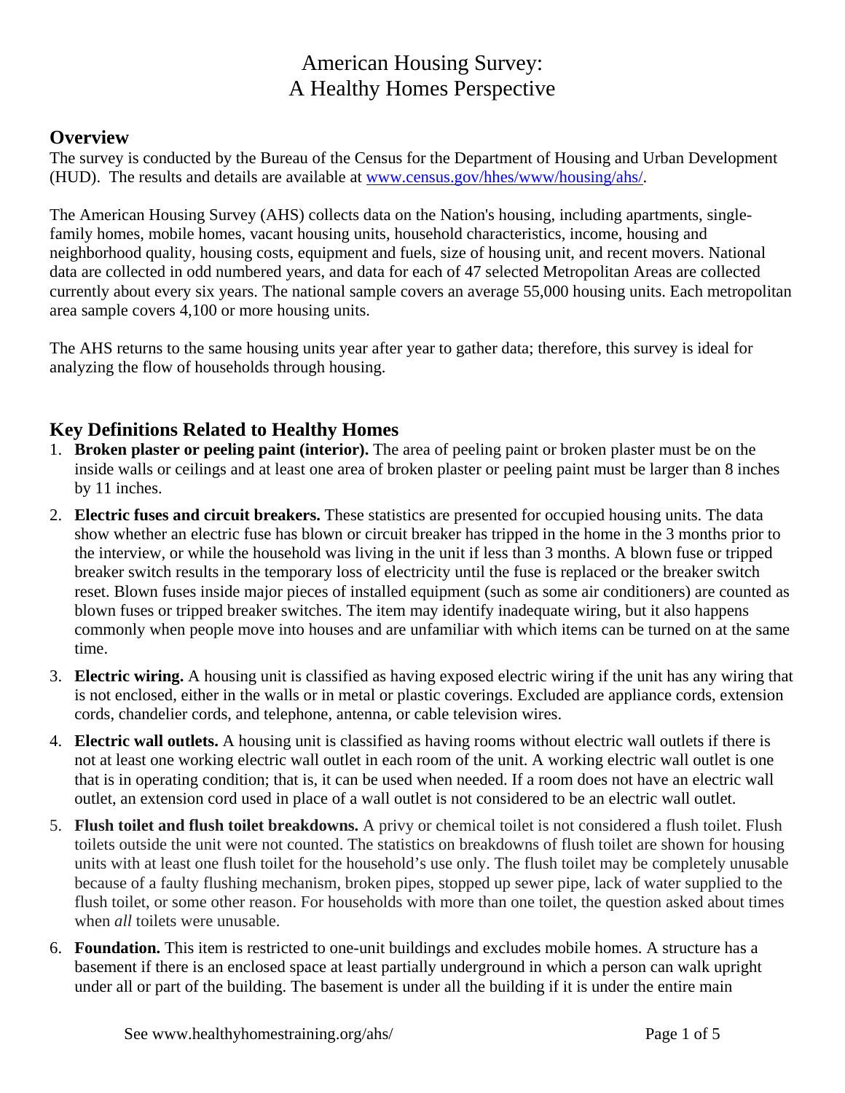### **Overview**

The survey is conducted by the Bureau of the Census for the Department of Housing and Urban Development (HUD). The results and details are available at www.census.gov/hhes/www/housing/ahs/.

The American Housing Survey (AHS) collects data on the Nation's housing, including apartments, singlefamily homes, mobile homes, vacant housing units, household characteristics, income, housing and neighborhood quality, housing costs, equipment and fuels, size of housing unit, and recent movers. National data are collected in odd numbered years, and data for each of 47 selected Metropolitan Areas are collected currently about every six years. The national sample covers an average 55,000 housing units. Each metropolitan area sample covers 4,100 or more housing units.

The AHS returns to the same housing units year after year to gather data; therefore, this survey is ideal for analyzing the flow of households through housing.

### **Key Definitions Related to Healthy Homes**

- 1. **Broken plaster or peeling paint (interior).** The area of peeling paint or broken plaster must be on the inside walls or ceilings and at least one area of broken plaster or peeling paint must be larger than 8 inches by 11 inches.
- 2. **Electric fuses and circuit breakers.** These statistics are presented for occupied housing units. The data show whether an electric fuse has blown or circuit breaker has tripped in the home in the 3 months prior to the interview, or while the household was living in the unit if less than 3 months. A blown fuse or tripped breaker switch results in the temporary loss of electricity until the fuse is replaced or the breaker switch reset. Blown fuses inside major pieces of installed equipment (such as some air conditioners) are counted as blown fuses or tripped breaker switches. The item may identify inadequate wiring, but it also happens commonly when people move into houses and are unfamiliar with which items can be turned on at the same time.
- 3. **Electric wiring.** A housing unit is classified as having exposed electric wiring if the unit has any wiring that is not enclosed, either in the walls or in metal or plastic coverings. Excluded are appliance cords, extension cords, chandelier cords, and telephone, antenna, or cable television wires.
- 4. **Electric wall outlets.** A housing unit is classified as having rooms without electric wall outlets if there is not at least one working electric wall outlet in each room of the unit. A working electric wall outlet is one that is in operating condition; that is, it can be used when needed. If a room does not have an electric wall outlet, an extension cord used in place of a wall outlet is not considered to be an electric wall outlet.
- 5. **Flush toilet and flush toilet breakdowns.** A privy or chemical toilet is not considered a flush toilet. Flush toilets outside the unit were not counted. The statistics on breakdowns of flush toilet are shown for housing units with at least one flush toilet for the household's use only. The flush toilet may be completely unusable because of a faulty flushing mechanism, broken pipes, stopped up sewer pipe, lack of water supplied to the flush toilet, or some other reason. For households with more than one toilet, the question asked about times when *all* toilets were unusable.
- 6. **Foundation.** This item is restricted to one-unit buildings and excludes mobile homes. A structure has a basement if there is an enclosed space at least partially underground in which a person can walk upright under all or part of the building. The basement is under all the building if it is under the entire main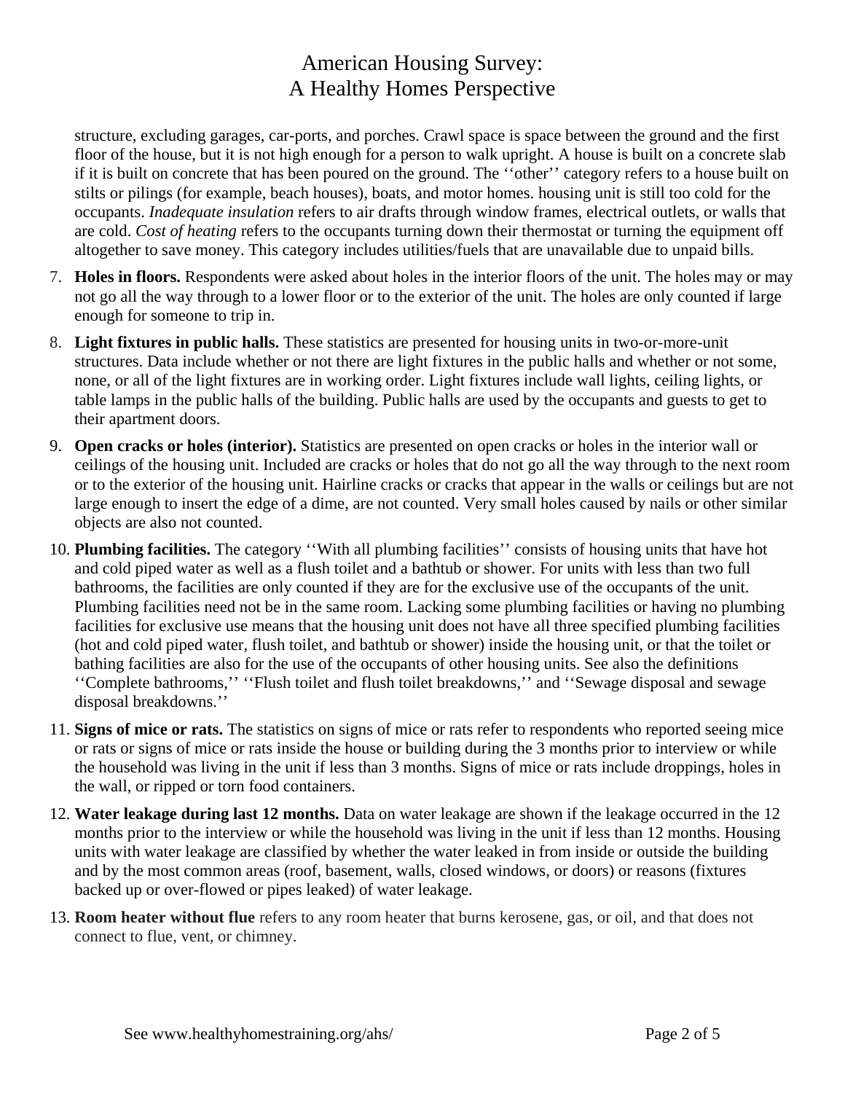structure, excluding garages, car-ports, and porches. Crawl space is space between the ground and the first floor of the house, but it is not high enough for a person to walk upright. A house is built on a concrete slab if it is built on concrete that has been poured on the ground. The ''other'' category refers to a house built on stilts or pilings (for example, beach houses), boats, and motor homes. housing unit is still too cold for the occupants. *Inadequate insulation* refers to air drafts through window frames, electrical outlets, or walls that are cold. *Cost of heating* refers to the occupants turning down their thermostat or turning the equipment off altogether to save money. This category includes utilities/fuels that are unavailable due to unpaid bills.

- 7. **Holes in floors.** Respondents were asked about holes in the interior floors of the unit. The holes may or may not go all the way through to a lower floor or to the exterior of the unit. The holes are only counted if large enough for someone to trip in.
- 8. **Light fixtures in public halls.** These statistics are presented for housing units in two-or-more-unit structures. Data include whether or not there are light fixtures in the public halls and whether or not some, none, or all of the light fixtures are in working order. Light fixtures include wall lights, ceiling lights, or table lamps in the public halls of the building. Public halls are used by the occupants and guests to get to their apartment doors.
- 9. **Open cracks or holes (interior).** Statistics are presented on open cracks or holes in the interior wall or ceilings of the housing unit. Included are cracks or holes that do not go all the way through to the next room or to the exterior of the housing unit. Hairline cracks or cracks that appear in the walls or ceilings but are not large enough to insert the edge of a dime, are not counted. Very small holes caused by nails or other similar objects are also not counted.
- 10. **Plumbing facilities.** The category ''With all plumbing facilities'' consists of housing units that have hot and cold piped water as well as a flush toilet and a bathtub or shower. For units with less than two full bathrooms, the facilities are only counted if they are for the exclusive use of the occupants of the unit. Plumbing facilities need not be in the same room. Lacking some plumbing facilities or having no plumbing facilities for exclusive use means that the housing unit does not have all three specified plumbing facilities (hot and cold piped water, flush toilet, and bathtub or shower) inside the housing unit, or that the toilet or bathing facilities are also for the use of the occupants of other housing units. See also the definitions ''Complete bathrooms,'' ''Flush toilet and flush toilet breakdowns,'' and ''Sewage disposal and sewage disposal breakdowns.''
- 11. **Signs of mice or rats.** The statistics on signs of mice or rats refer to respondents who reported seeing mice or rats or signs of mice or rats inside the house or building during the 3 months prior to interview or while the household was living in the unit if less than 3 months. Signs of mice or rats include droppings, holes in the wall, or ripped or torn food containers.
- 12. **Water leakage during last 12 months.** Data on water leakage are shown if the leakage occurred in the 12 months prior to the interview or while the household was living in the unit if less than 12 months. Housing units with water leakage are classified by whether the water leaked in from inside or outside the building and by the most common areas (roof, basement, walls, closed windows, or doors) or reasons (fixtures backed up or over-flowed or pipes leaked) of water leakage.
- 13. **Room heater without flue** refers to any room heater that burns kerosene, gas, or oil, and that does not connect to flue, vent, or chimney.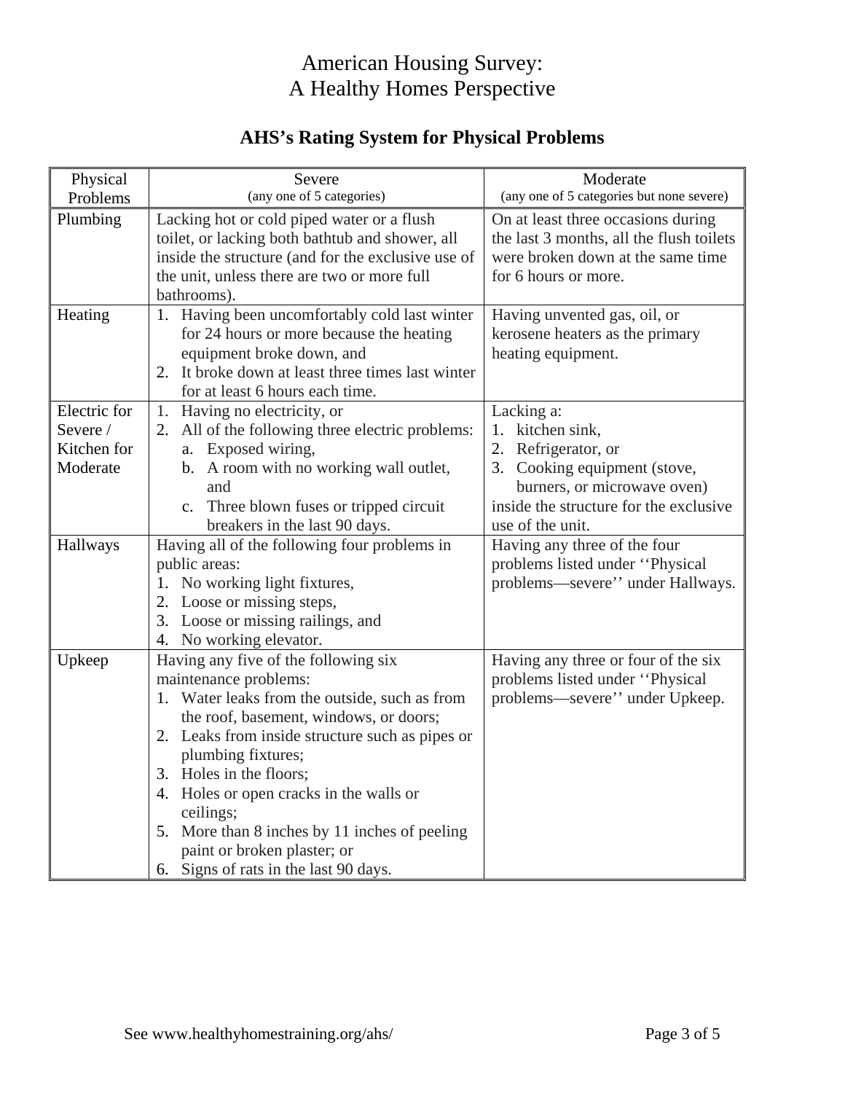## **AHS's Rating System for Physical Problems**

| Physical     | Severe                                             | Moderate                                  |
|--------------|----------------------------------------------------|-------------------------------------------|
| Problems     | (any one of 5 categories)                          | (any one of 5 categories but none severe) |
| Plumbing     | Lacking hot or cold piped water or a flush         | On at least three occasions during        |
|              | toilet, or lacking both bathtub and shower, all    | the last 3 months, all the flush toilets  |
|              | inside the structure (and for the exclusive use of | were broken down at the same time         |
|              | the unit, unless there are two or more full        | for 6 hours or more.                      |
|              | bathrooms).                                        |                                           |
| Heating      | 1. Having been uncomfortably cold last winter      | Having unvented gas, oil, or              |
|              | for 24 hours or more because the heating           | kerosene heaters as the primary           |
|              | equipment broke down, and                          | heating equipment.                        |
|              | 2. It broke down at least three times last winter  |                                           |
|              | for at least 6 hours each time.                    |                                           |
| Electric for | 1. Having no electricity, or                       | Lacking a:                                |
| Severe /     | 2. All of the following three electric problems:   | 1. kitchen sink,                          |
| Kitchen for  | a. Exposed wiring,                                 | 2. Refrigerator, or                       |
| Moderate     | b. A room with no working wall outlet,             | 3. Cooking equipment (stove,              |
|              | and                                                | burners, or microwave oven)               |
|              | c. Three blown fuses or tripped circuit            | inside the structure for the exclusive    |
|              | breakers in the last 90 days.                      | use of the unit.                          |
| Hallways     | Having all of the following four problems in       | Having any three of the four              |
|              | public areas:                                      | problems listed under "Physical           |
|              | 1. No working light fixtures,                      | problems—severe'' under Hallways.         |
|              | 2. Loose or missing steps,                         |                                           |
|              | 3. Loose or missing railings, and                  |                                           |
|              | 4. No working elevator.                            |                                           |
| Upkeep       | Having any five of the following six               | Having any three or four of the six       |
|              | maintenance problems:                              | problems listed under "Physical           |
|              | 1. Water leaks from the outside, such as from      | problems—severe'' under Upkeep.           |
|              | the roof, basement, windows, or doors;             |                                           |
|              | 2. Leaks from inside structure such as pipes or    |                                           |
|              | plumbing fixtures;                                 |                                           |
|              | 3. Holes in the floors;                            |                                           |
|              | 4. Holes or open cracks in the walls or            |                                           |
|              | ceilings;                                          |                                           |
|              | 5. More than 8 inches by 11 inches of peeling      |                                           |
|              | paint or broken plaster; or                        |                                           |
|              | Signs of rats in the last 90 days.<br>6.           |                                           |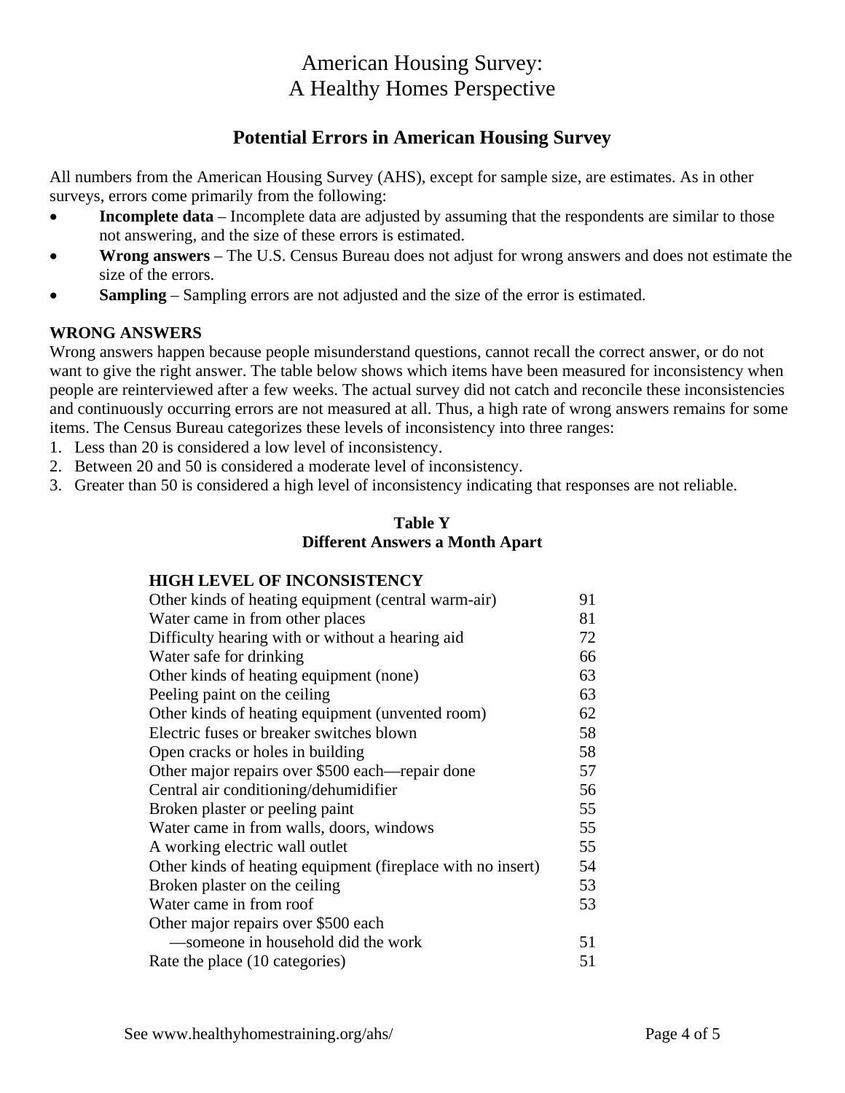### **Potential Errors in American Housing Survey**

All numbers from the American Housing Survey (AHS), except for sample size, are estimates. As in other surveys, errors come primarily from the following:

- **Incomplete data** Incomplete data are adjusted by assuming that the respondents are similar to those not answering, and the size of these errors is estimated.
- **Wrong answers** The U.S. Census Bureau does not adjust for wrong answers and does not estimate the size of the errors.
- **Sampling** Sampling errors are not adjusted and the size of the error is estimated.

### **WRONG ANSWERS**

Wrong answers happen because people misunderstand questions, cannot recall the correct answer, or do not want to give the right answer. The table below shows which items have been measured for inconsistency when people are reinterviewed after a few weeks. The actual survey did not catch and reconcile these inconsistencies and continuously occurring errors are not measured at all. Thus, a high rate of wrong answers remains for some items. The Census Bureau categorizes these levels of inconsistency into three ranges:

- 1. Less than 20 is considered a low level of inconsistency.
- 2. Between 20 and 50 is considered a moderate level of inconsistency.
- 3. Greater than 50 is considered a high level of inconsistency indicating that responses are not reliable.

### **Table Y Different Answers a Month Apart**

### **HIGH LEVEL OF INCONSISTENCY**

| Other kinds of heating equipment (central warm-air)         | 91 |
|-------------------------------------------------------------|----|
| Water came in from other places                             | 81 |
| Difficulty hearing with or without a hearing aid            | 72 |
| Water safe for drinking                                     | 66 |
| Other kinds of heating equipment (none)                     | 63 |
| Peeling paint on the ceiling                                | 63 |
| Other kinds of heating equipment (unvented room)            | 62 |
| Electric fuses or breaker switches blown                    | 58 |
| Open cracks or holes in building                            | 58 |
| Other major repairs over \$500 each—repair done             | 57 |
| Central air conditioning/dehumidifier                       | 56 |
| Broken plaster or peeling paint                             | 55 |
| Water came in from walls, doors, windows                    | 55 |
| A working electric wall outlet                              | 55 |
| Other kinds of heating equipment (fireplace with no insert) | 54 |
| Broken plaster on the ceiling                               | 53 |
| Water came in from roof                                     | 53 |
| Other major repairs over \$500 each                         |    |
| —someone in household did the work                          | 51 |
| Rate the place (10 categories)                              | 51 |